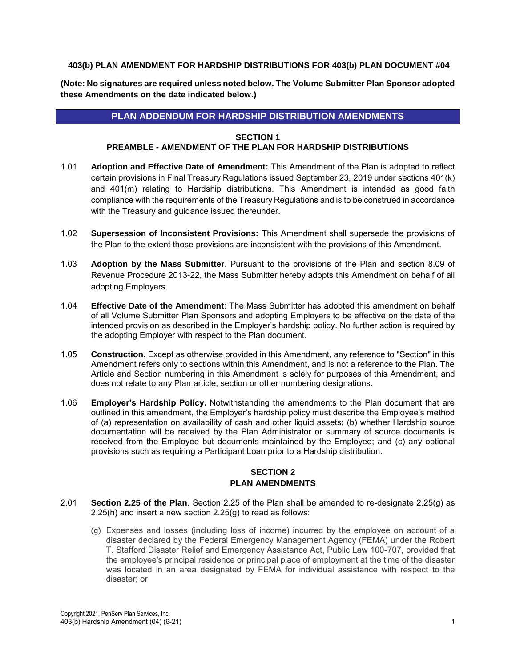#### **403(b) PLAN AMENDMENT FOR HARDSHIP DISTRIBUTIONS FOR 403(b) PLAN DOCUMENT #04**

**(Note: No signatures are required unless noted below. The Volume Submitter Plan Sponsor adopted these Amendments on the date indicated below.)**

## **PLAN ADDENDUM FOR HARDSHIP DISTRIBUTION AMENDMENTS**

#### **SECTION 1**

#### **PREAMBLE - AMENDMENT OF THE PLAN FOR HARDSHIP DISTRIBUTIONS**

- 1.01 **Adoption and Effective Date of Amendment:** This Amendment of the Plan is adopted to reflect certain provisions in Final Treasury Regulations issued September 23, 2019 under sections 401(k) and 401(m) relating to Hardship distributions. This Amendment is intended as good faith compliance with the requirements of the Treasury Regulations and is to be construed in accordance with the Treasury and guidance issued thereunder.
- 1.02 **Supersession of Inconsistent Provisions:** This Amendment shall supersede the provisions of the Plan to the extent those provisions are inconsistent with the provisions of this Amendment.
- 1.03 **Adoption by the Mass Submitter**. Pursuant to the provisions of the Plan and section 8.09 of Revenue Procedure 2013-22, the Mass Submitter hereby adopts this Amendment on behalf of all adopting Employers.
- 1.04 **Effective Date of the Amendment**: The Mass Submitter has adopted this amendment on behalf of all Volume Submitter Plan Sponsors and adopting Employers to be effective on the date of the intended provision as described in the Employer's hardship policy. No further action is required by the adopting Employer with respect to the Plan document.
- 1.05 **Construction.** Except as otherwise provided in this Amendment, any reference to "Section" in this Amendment refers only to sections within this Amendment, and is not a reference to the Plan. The Article and Section numbering in this Amendment is solely for purposes of this Amendment, and does not relate to any Plan article, section or other numbering designations.
- 1.06 **Employer's Hardship Policy.** Notwithstanding the amendments to the Plan document that are outlined in this amendment, the Employer's hardship policy must describe the Employee's method of (a) representation on availability of cash and other liquid assets; (b) whether Hardship source documentation will be received by the Plan Administrator or summary of source documents is received from the Employee but documents maintained by the Employee; and (c) any optional provisions such as requiring a Participant Loan prior to a Hardship distribution.

### **SECTION 2 PLAN AMENDMENTS**

- 2.01 **Section 2.25 of the Plan**. Section 2.25 of the Plan shall be amended to re-designate 2.25(g) as 2.25(h) and insert a new section 2.25(g) to read as follows:
	- (g) Expenses and losses (including loss of income) incurred by the employee on account of a disaster declared by the Federal Emergency Management Agency (FEMA) under the Robert T. Stafford Disaster Relief and Emergency Assistance Act, Public Law 100-707, provided that the employee's principal residence or principal place of employment at the time of the disaster was located in an area designated by FEMA for individual assistance with respect to the disaster; or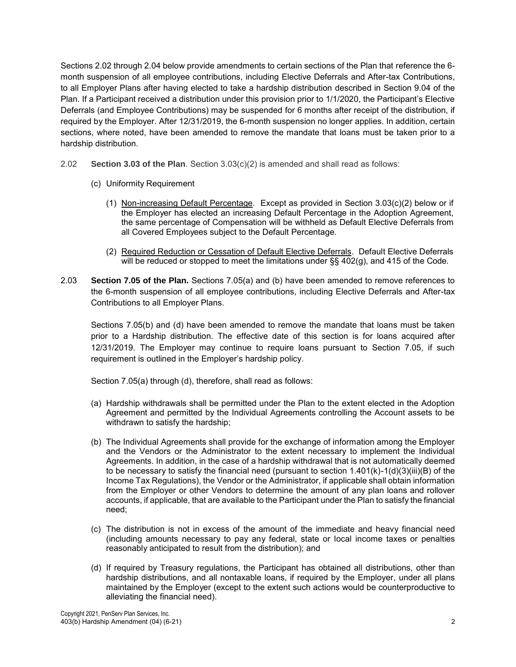Sections 2.02 through 2.04 below provide amendments to certain sections of the Plan that reference the 6 month suspension of all employee contributions, including Elective Deferrals and After-tax Contributions, to all Employer Plans after having elected to take a hardship distribution described in Section 9.04 of the Plan. If a Participant received a distribution under this provision prior to 1/1/2020, the Participant's Elective Deferrals (and Employee Contributions) may be suspended for 6 months after receipt of the distribution, if required by the Employer. After 12/31/2019, the 6-month suspension no longer applies. In addition, certain sections, where noted, have been amended to remove the mandate that loans must be taken prior to a hardship distribution.

- 2.02 **Section 3.03 of the Plan**. Section 3.03(c)(2) is amended and shall read as follows:
	- (c) Uniformity Requirement
		- (1) Non-increasing Default Percentage. Except as provided in Section 3.03(c)(2) below or if the Employer has elected an increasing Default Percentage in the Adoption Agreement, the same percentage of Compensation will be withheld as Default Elective Deferrals from all Covered Employees subject to the Default Percentage.
		- (2) Required Reduction or Cessation of Default Elective Deferrals. Default Elective Deferrals will be reduced or stopped to meet the limitations under  $\S\S 402(g)$ , and 415 of the Code.
- 2.03 **Section 7.05 of the Plan.** Sections 7.05(a) and (b) have been amended to remove references to the 6-month suspension of all employee contributions, including Elective Deferrals and After-tax Contributions to all Employer Plans.

Sections 7.05(b) and (d) have been amended to remove the mandate that loans must be taken prior to a Hardship distribution. The effective date of this section is for loans acquired after 12/31/2019. The Employer may continue to require loans pursuant to Section 7.05, if such requirement is outlined in the Employer's hardship policy.

Section 7.05(a) through (d), therefore, shall read as follows:

- (a) Hardship withdrawals shall be permitted under the Plan to the extent elected in the Adoption Agreement and permitted by the Individual Agreements controlling the Account assets to be withdrawn to satisfy the hardship;
- (b) The Individual Agreements shall provide for the exchange of information among the Employer and the Vendors or the Administrator to the extent necessary to implement the Individual Agreements. In addition, in the case of a hardship withdrawal that is not automatically deemed to be necessary to satisfy the financial need (pursuant to section  $1.401(k)-1(d)(3)(iii)(B)$  of the Income Tax Regulations), the Vendor or the Administrator, if applicable shall obtain information from the Employer or other Vendors to determine the amount of any plan loans and rollover accounts, if applicable, that are available to the Participant under the Plan to satisfy the financial need;
- (c) The distribution is not in excess of the amount of the immediate and heavy financial need (including amounts necessary to pay any federal, state or local income taxes or penalties reasonably anticipated to result from the distribution); and
- (d) If required by Treasury regulations, the Participant has obtained all distributions, other than hardship distributions, and all nontaxable loans, if required by the Employer, under all plans maintained by the Employer (except to the extent such actions would be counterproductive to alleviating the financial need).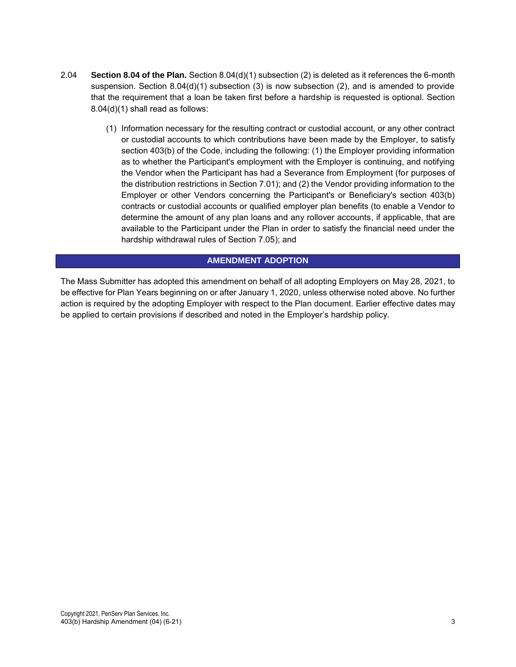- 2.04 **Section 8.04 of the Plan.** Section 8.04(d)(1) subsection (2) is deleted as it references the 6-month suspension. Section 8.04(d)(1) subsection (3) is now subsection (2), and is amended to provide that the requirement that a loan be taken first before a hardship is requested is optional. Section 8.04(d)(1) shall read as follows:
	- (1) Information necessary for the resulting contract or custodial account, or any other contract or custodial accounts to which contributions have been made by the Employer, to satisfy section 403(b) of the Code, including the following: (1) the Employer providing information as to whether the Participant's employment with the Employer is continuing, and notifying the Vendor when the Participant has had a Severance from Employment (for purposes of the distribution restrictions in Section 7.01); and (2) the Vendor providing information to the Employer or other Vendors concerning the Participant's or Beneficiary's section 403(b) contracts or custodial accounts or qualified employer plan benefits (to enable a Vendor to determine the amount of any plan loans and any rollover accounts, if applicable, that are available to the Participant under the Plan in order to satisfy the financial need under the hardship withdrawal rules of Section 7.05); and

# **AMENDMENT ADOPTION**

The Mass Submitter has adopted this amendment on behalf of all adopting Employers on May 28, 2021, to be effective for Plan Years beginning on or after January 1, 2020, unless otherwise noted above. No further action is required by the adopting Employer with respect to the Plan document. Earlier effective dates may be applied to certain provisions if described and noted in the Employer's hardship policy.